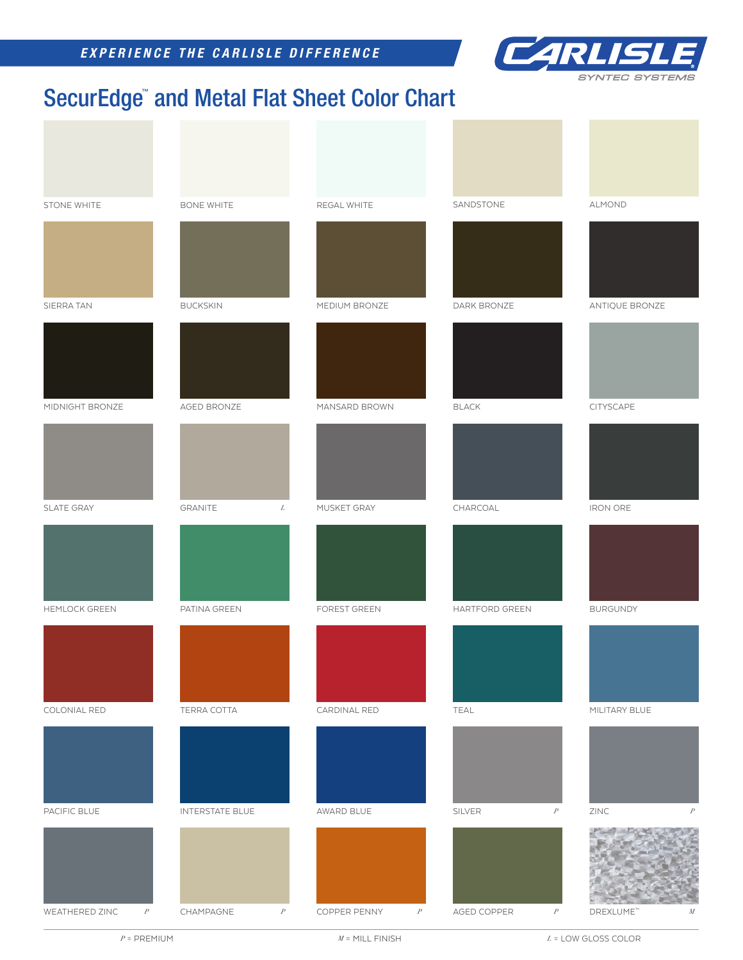*EXPERIENCE THE CARLISLE DIFFERENCE*



## SecurEdge™ and Metal Flat Sheet Color Chart

| STONE WHITE          | <b>BONE WHITE</b>             | REGAL WHITE       | SANDSTONE                       | ALMOND                     |
|----------------------|-------------------------------|-------------------|---------------------------------|----------------------------|
|                      |                               |                   |                                 |                            |
| SIERRA TAN           | <b>BUCKSKIN</b>               | MEDIUM BRONZE     | DARK BRONZE                     | ANTIQUE BRONZE             |
|                      |                               |                   |                                 |                            |
| MIDNIGHT BRONZE      | AGED BRONZE                   | MANSARD BROWN     | $\mathsf{BLACK}$                | CITYSCAPE                  |
|                      |                               |                   |                                 |                            |
| SLATE GRAY           | GRANITE<br>L                  | MUSKET GRAY       | CHARCOAL                        | <b>IRON ORE</b>            |
|                      |                               |                   |                                 |                            |
| <b>HEMLOCK GREEN</b> | PATINA GREEN                  | FOREST GREEN      | HARTFORD GREEN                  | <b>BURGUNDY</b>            |
|                      |                               |                   |                                 |                            |
| COLONIAL RED         | TERRA COTTA                   | CARDINAL RED      | TEAL                            | MILITARY BLUE              |
|                      |                               |                   |                                 |                            |
| PACIFIC BLUE         | <b>INTERSTATE BLUE</b>        | AWARD BLUE        | SILVER<br>$\boldsymbol{P}$      | $ZINC$<br>$\boldsymbol{P}$ |
| P<br>WEATHERED ZINC  | CHAMPAGNE<br>$\boldsymbol{P}$ | COPPER PENNY<br>P | AGED COPPER<br>$\boldsymbol{P}$ | DREXLUME"<br>${\cal M}$    |